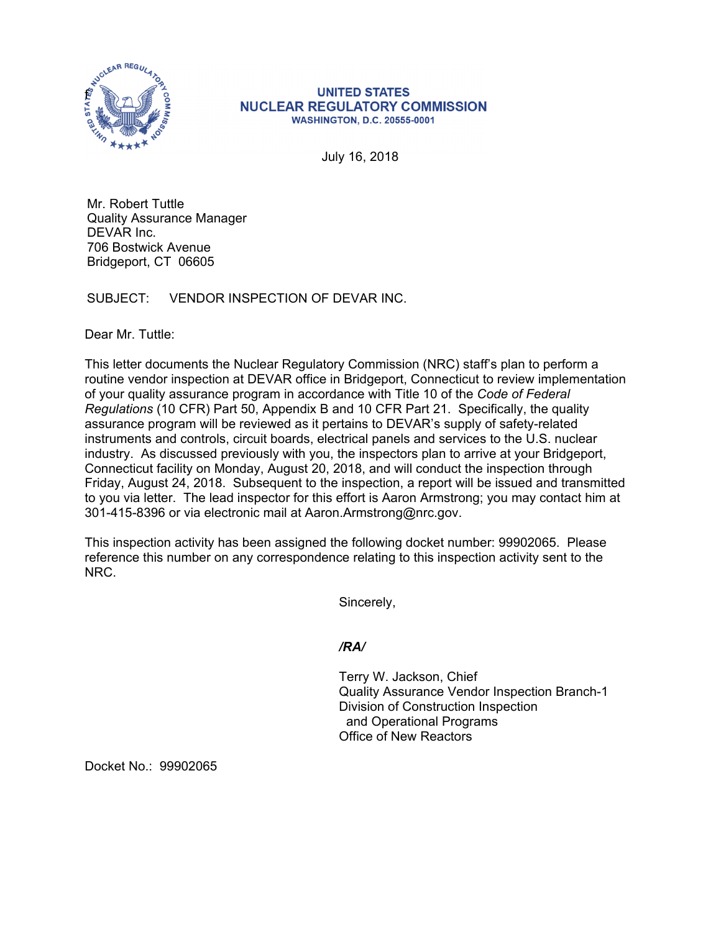

## **UNITED STATES NUCLEAR REGULATORY COMMISSION WASHINGTON, D.C. 20555-0001**

July 16, 2018

Mr. Robert Tuttle Quality Assurance Manager DEVAR Inc. 706 Bostwick Avenue Bridgeport, CT 06605

SUBJECT: VENDOR INSPECTION OF DEVAR INC.

Dear Mr. Tuttle:

This letter documents the Nuclear Regulatory Commission (NRC) staff's plan to perform a routine vendor inspection at DEVAR office in Bridgeport, Connecticut to review implementation of your quality assurance program in accordance with Title 10 of the *Code of Federal Regulations* (10 CFR) Part 50, Appendix B and 10 CFR Part 21. Specifically, the quality assurance program will be reviewed as it pertains to DEVAR's supply of safety-related instruments and controls, circuit boards, electrical panels and services to the U.S. nuclear industry. As discussed previously with you, the inspectors plan to arrive at your Bridgeport, Connecticut facility on Monday, August 20, 2018, and will conduct the inspection through Friday, August 24, 2018. Subsequent to the inspection, a report will be issued and transmitted to you via letter. The lead inspector for this effort is Aaron Armstrong; you may contact him at 301-415-8396 or via electronic mail at Aaron.Armstrong@nrc.gov.

This inspection activity has been assigned the following docket number: 99902065. Please reference this number on any correspondence relating to this inspection activity sent to the NRC.

Sincerely,

*/RA/* 

Terry W. Jackson, Chief Quality Assurance Vendor Inspection Branch-1 Division of Construction Inspection and Operational Programs Office of New Reactors

Docket No.: 99902065